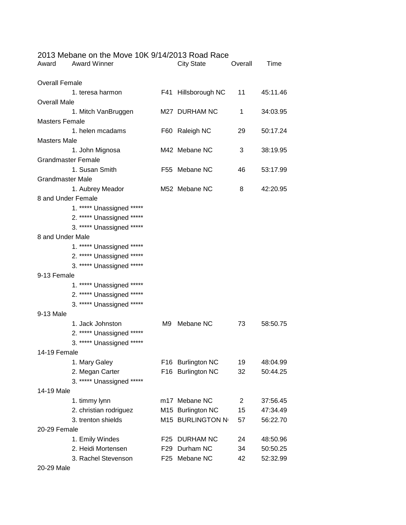| Award                     | 2013 Medalle Off the MOVE TON 9/14/2013 Road Race<br><b>Award Winner</b> |                 | City State          | Overall      | Time     |  |  |
|---------------------------|--------------------------------------------------------------------------|-----------------|---------------------|--------------|----------|--|--|
| <b>Overall Female</b>     |                                                                          |                 |                     |              |          |  |  |
|                           | 1. teresa harmon                                                         |                 | F41 Hillsborough NC | $11 -$       | 45:11.46 |  |  |
| <b>Overall Male</b>       |                                                                          |                 |                     |              |          |  |  |
|                           | 1. Mitch VanBruggen                                                      |                 | M27 DURHAM NC       | 1            | 34:03.95 |  |  |
| <b>Masters Female</b>     |                                                                          |                 |                     |              |          |  |  |
|                           | 1. helen mcadams                                                         |                 | F60 Raleigh NC      | 29           | 50:17.24 |  |  |
| <b>Masters Male</b>       |                                                                          |                 |                     |              |          |  |  |
|                           | 1. John Mignosa                                                          |                 | M42 Mebane NC       | 3            | 38:19.95 |  |  |
| <b>Grandmaster Female</b> |                                                                          |                 |                     |              |          |  |  |
|                           | 1. Susan Smith                                                           |                 | F55 Mebane NC       | 46           | 53:17.99 |  |  |
|                           | <b>Grandmaster Male</b>                                                  |                 |                     |              |          |  |  |
|                           | 1. Aubrey Meador                                                         |                 | M52 Mebane NC       | 8            | 42:20.95 |  |  |
| 8 and Under Female        |                                                                          |                 |                     |              |          |  |  |
|                           | 1. ***** Unassigned *****                                                |                 |                     |              |          |  |  |
|                           | 2. ***** Unassigned *****                                                |                 |                     |              |          |  |  |
|                           | 3. ***** Unassigned *****                                                |                 |                     |              |          |  |  |
| 8 and Under Male          |                                                                          |                 |                     |              |          |  |  |
|                           | 1. ***** Unassigned *****                                                |                 |                     |              |          |  |  |
|                           | 2. ***** Unassigned *****                                                |                 |                     |              |          |  |  |
|                           | 3. ***** Unassigned *****                                                |                 |                     |              |          |  |  |
| 9-13 Female               |                                                                          |                 |                     |              |          |  |  |
|                           | 1. ***** Unassigned *****                                                |                 |                     |              |          |  |  |
|                           | 2. ***** Unassigned *****                                                |                 |                     |              |          |  |  |
|                           | 3. ***** Unassigned *****                                                |                 |                     |              |          |  |  |
| 9-13 Male                 |                                                                          |                 |                     |              |          |  |  |
|                           | 1. Jack Johnston                                                         |                 | M9 Mebane NC        | 73 —         | 58:50.75 |  |  |
|                           | 2. ***** Unassigned *****                                                |                 |                     |              |          |  |  |
|                           | 3. ***** Unassigned *****                                                |                 |                     |              |          |  |  |
| 14-19 Female              |                                                                          |                 |                     |              |          |  |  |
|                           | 1. Mary Galey                                                            |                 | F16 Burlington NC   | 19           | 48:04.99 |  |  |
|                           | 2. Megan Carter                                                          |                 | F16 Burlington NC   | 32           | 50:44.25 |  |  |
|                           | 3. ***** Unassigned *****                                                |                 |                     |              |          |  |  |
| 14-19 Male                |                                                                          |                 |                     |              |          |  |  |
|                           | 1. timmy lynn                                                            |                 | m17 Mebane NC       | $\mathbf{2}$ | 37:56.45 |  |  |
|                           | 2. christian rodriguez                                                   |                 | M15 Burlington NC   | 15           | 47:34.49 |  |  |
|                           | 3. trenton shields                                                       |                 | M15 BURLINGTON N    | 57           | 56:22.70 |  |  |
| 20-29 Female              |                                                                          |                 |                     |              |          |  |  |
|                           | 1. Emily Windes                                                          | F <sub>25</sub> | <b>DURHAM NC</b>    | 24           | 48:50.96 |  |  |
|                           | 2. Heidi Mortensen                                                       | F29             | Durham NC           | 34           | 50:50.25 |  |  |
|                           | 3. Rachel Stevenson                                                      | F <sub>25</sub> | Mebane NC           | 42           | 52:32.99 |  |  |

20-29 Male

## 2013 Mebane on the Move 10K 9/14/2013 Road Race